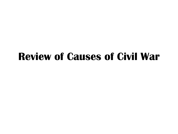### **Review of Causes of Civil War**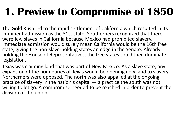### **1. Preview to Compromise of 1850**

The Gold Rush led to the rapid settlement of California which resulted in its imminent admission as the 31st state. Southerners recognized that there were few slaves in California because Mexico had prohibited slavery. Immediate admission would surely mean California would be the 16th free state, giving the non-slave-holding states an edge in the Senate. Already holding the House of Representatives, the free states could then dominate legislation.

Texas was claiming land that was part of New Mexico. As a slave state, any expansion of the boundaries of Texas would be opening new land to slavery. Northerners were opposed. The north was also appalled at the ongoing practice of slavery in the nation's capital — a practice the south was not willing to let go. A compromise needed to be reached in order to prevent the division of the union.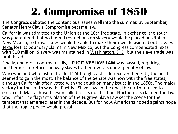# **2. Compromise of 1850**

The Congress debated the contentious issues well into the summer. By September, Senator Henry Clay's Compromise became law.

California was admitted to the Union as the 16th free state. In exchange, the south was guaranteed that no federal restrictions on slavery would be placed on Utah or New Mexico, so those states would be able to make their own decision about slavery. Texas lost its boundary claims in New Mexico, but the Congress compensated Texas with \$10 million. Slavery was maintained in Washington, D.C., but the slave trade was prohibited.

Finally, and most controversially, a **FUGITIVE SLAVE LAW** was passed, requiring northerners to return runaway slaves to their owners under penalty of law.

Who won and who lost in the deal? Although each side received benefits, the north seemed to gain the most. The balance of the Senate was now with the free states, although California often voted with the south on many issues in the 1850s. The major victory for the south was the Fugitive Slave Law. In the end, the north refused to enforce it. Massachusetts even called for its nullification. Northerners claimed the law was unfair. The flagrant violation of the Fugitive Slave Law set the scene for the tempest that emerged later in the decade. But for now, Americans hoped against hope that the fragile peace would prevail.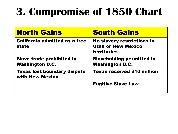# **3. Compromise of 1850 Chart**

| <b>North Gains</b>                                         | <b>South Gains</b>                                                                   |
|------------------------------------------------------------|--------------------------------------------------------------------------------------|
| <b>California admitted as a free</b><br>state              | <b>No slavery restrictions in</b><br><b>Utah or New Mexico</b><br><b>territories</b> |
| <b>Slave trade prohibited in</b><br><b>Washington D.C.</b> | <b>Slaveholding permitted in</b><br><b>Washington D.C.</b>                           |
| <b>Texas lost boundary dispute</b><br>with New Mexico      | <b>Texas received \$10 million</b>                                                   |
|                                                            | <b>Fugitive Slave Law</b>                                                            |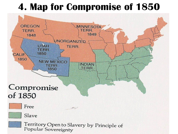### **4. Map for Compromise of 1850**

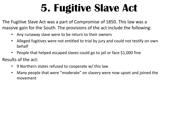### **5. Fugitive Slave Act**

The Fugitive Slave Act was a part of Compromise of 1850. This law was a massive gain for the South. The provisions of the act include the following:

- Any runaway slave were to be return to their owners
- Alleged fugitives were not entitled to trial by jury and could not testify on own behalf
- People that helped escaped slaves could go to jail or face \$1,000 fine
- Results of the act:
	- 9 Northern states refused to cooperate w/ this law
	- Many people that were "moderate" on slavery were now upset and joined the movement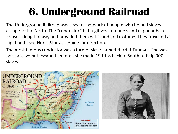# **6. Underground Railroad**

The Underground Railroad was a secret network of people who helped slaves escape to the North. The "conductor" hid fugitives in tunnels and cupboards in houses along the way and provided them with food and clothing. They travelled at night and used North Star as a guide for direction.

The most famous conductor was a former slave named Harriet Tubman. She was born a slave but escaped. In total, she made 19 trips back to South to help 300 slaves.



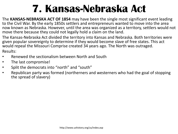### **7. Kansas-Nebraska Act**

The **KANSAS-NEBRASKA ACT OF 1854** may have been the single most significant event leading to the Civil War. By the early 1850s settlers and entrepreneurs wanted to move into the area now known as Nebraska. However, until the area was organized as a territory, settlers would not move there because they could not legally hold a claim on the land.

The Kansas-Nebraska Act divided the territory into Kansas and Nebraska. Both territories were given popular sovereignty to determine if they would become slave of free states. This act would repeal the Missouri Comprise created 34 years ago. The North was outraged. Results:

- Renewed the sectionalism between North and South
- The last compromise!
- Split the democrats into "north" and "south"
- Republican party was formed (northerners and westerners who had the goal of stopping the spread of slavery)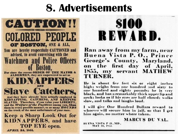### **8. Advertisements**

**CAUTION!! COLORED PEOPLE** OF BOSTON, ONE & ALL, You are hereby respectfully CAUTIONED and advised, to avoid conversing with the **Watchmen and Police Officers** For since the recent ORDER OF THE MAYOR & **ALDERMEN**, they are empowered to act as **TIDAYAYE E MHS Slave Catcl** And they have already been actually employed in KIDNAPPING, CATCHING, AND KEEPING SLAVES. Therefore, if you value your LIBERTY. and the Welfare of the Fugitives among you, Shun them in every possible manner, as so many **HOUNDS** on the track of the most unfortunate of your race. **Keep a Sharp Look Out for KIDNAPPERS, and have TOP EYE open.** 

**APRIL 24, 1851.** 

\$100 REWARD.

Ran away from my farm, near Buena Vista P. O., Prince George's County, Maryland, on the first day of April, 1855, my servant MATHEW TURNER.

He is about five feet six or eight inches high; weighs from one hundred and sixty to one hundred and eighty pounds; he is very black, and has a remarkably thick upper lip and neck; looks as if his eyes are half closed; walks slow, and talks and laughs loud.

I will give One Hundred Dollars reward to whoever will secure him in jail, so that I get him again, no matter where taken.

MARCUS DU VAL.

BUENA VISTA P O., MD., **MAY 10, 1555.**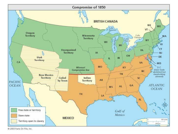

@ 2003 Facts On File, Inc.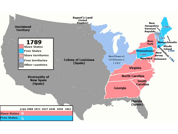